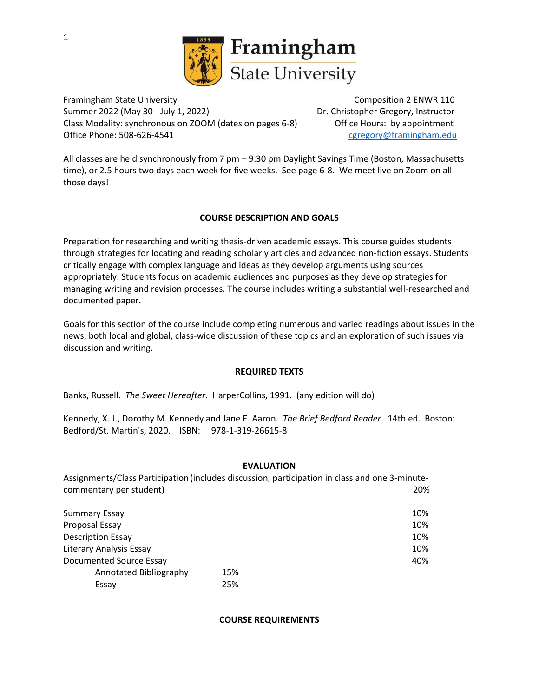

Framingham State University **Composition 2 ENWR 110** Composition 2 ENWR 110 Summer 2022 (May 30 - July 1, 2022) Dr. Christopher Gregory, Instructor Class Modality: synchronous on ZOOM (dates on pages 6-8) Office Hours: by appointment Office Phone: 508-626-4541 [cgregory@framingham.edu](mailto:cgregory@framingham.edu)

All classes are held synchronously from 7 pm – 9:30 pm Daylight Savings Time (Boston, Massachusetts time), or 2.5 hours two days each week for five weeks. See page 6-8. We meet live on Zoom on all those days!

## **COURSE DESCRIPTION AND GOALS**

Preparation for researching and writing thesis-driven academic essays. This course guides students through strategies for locating and reading scholarly articles and advanced non-fiction essays. Students critically engage with complex language and ideas as they develop arguments using sources appropriately. Students focus on academic audiences and purposes as they develop strategies for managing writing and revision processes. The course includes writing a substantial well-researched and documented paper.

Goals for this section of the course include completing numerous and varied readings about issues in the news, both local and global, class-wide discussion of these topics and an exploration of such issues via discussion and writing.

### **REQUIRED TEXTS**

Banks, Russell. *The Sweet Hereafter*. HarperCollins, 1991. (any edition will do)

Kennedy, X. J., Dorothy M. Kennedy and Jane E. Aaron. *The Brief Bedford Reader*. 14th ed. Boston: Bedford/St. Martin's, 2020. ISBN: 978-1-319-26615-8

### **EVALUATION**

Assignments/Class Participation (includes discussion, participation in class and one 3-minutecommentary per student) 20%

| Summary Essay            |     | 10% |
|--------------------------|-----|-----|
| Proposal Essay           |     | 10% |
| <b>Description Essay</b> |     | 10% |
| Literary Analysis Essay  |     | 10% |
| Documented Source Essay  |     | 40% |
| Annotated Bibliography   | 15% |     |
| Essay                    | 25% |     |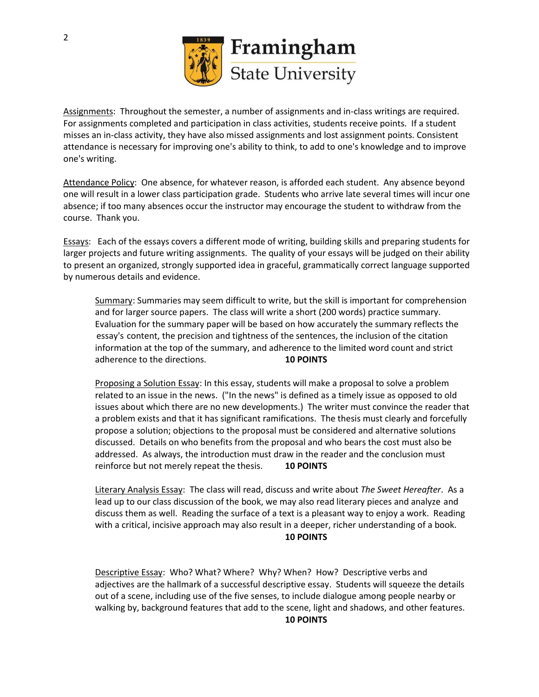

Assignments: Throughout the semester, a number of assignments and in-class writings are required. For assignments completed and participation in class activities, students receive points. If a student misses an in-class activity, they have also missed assignments and lost assignment points. Consistent attendance is necessary for improving one's ability to think, to add to one's knowledge and to improve one's writing.

Attendance Policy: One absence, for whatever reason, is afforded each student. Any absence beyond one will result in a lower class participation grade. Students who arrive late several times will incur one absence; if too many absences occur the instructor may encourage the student to withdraw from the course. Thank you.

Essays: Each of the essays covers a different mode of writing, building skills and preparing students for larger projects and future writing assignments. The quality of your essays will be judged on their ability to present an organized, strongly supported idea in graceful, grammatically correct language supported by numerous details and evidence.

Summary: Summaries may seem difficult to write, but the skill is important for comprehension and for larger source papers. The class will write a short (200 words) practice summary. Evaluation for the summary paper will be based on how accurately the summary reflects the essay's content, the precision and tightness of the sentences, the inclusion of the citation information at the top of the summary, and adherence to the limited word count and strict adherence to the directions. **10 POINTS**

Proposing a Solution Essay: In this essay, students will make a proposal to solve a problem related to an issue in the news. ("In the news" is defined as a timely issue as opposed to old issues about which there are no new developments.) The writer must convince the reader that a problem exists and that it has significant ramifications. The thesis must clearly and forcefully propose a solution; objections to the proposal must be considered and alternative solutions discussed. Details on who benefits from the proposal and who bears the cost must also be addressed. As always, the introduction must draw in the reader and the conclusion must reinforce but not merely repeat the thesis. **10 POINTS**

Literary Analysis Essay: The class will read, discuss and write about *The Sweet Hereafter*. As a lead up to our class discussion of the book, we may also read literary pieces and analyze and discuss them as well. Reading the surface of a text is a pleasant way to enjoy a work. Reading with a critical, incisive approach may also result in a deeper, richer understanding of a book. **10 POINTS**

Descriptive Essay: Who? What? Where? Why? When? How? Descriptive verbs and adjectives are the hallmark of a successful descriptive essay. Students will squeeze the details out of a scene, including use of the five senses, to include dialogue among people nearby or walking by, background features that add to the scene, light and shadows, and other features.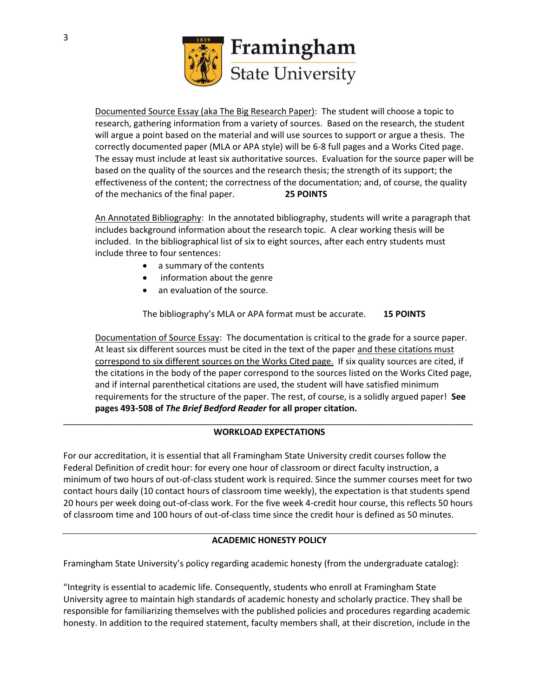

Documented Source Essay (aka The Big Research Paper): The student will choose a topic to research, gathering information from a variety of sources. Based on the research, the student will argue a point based on the material and will use sources to support or argue a thesis. The correctly documented paper (MLA or APA style) will be 6-8 full pages and a Works Cited page. The essay must include at least six authoritative sources. Evaluation for the source paper will be based on the quality of the sources and the research thesis; the strength of its support; the effectiveness of the content; the correctness of the documentation; and, of course, the quality of the mechanics of the final paper. **25 POINTS**

An Annotated Bibliography: In the annotated bibliography, students will write a paragraph that includes background information about the research topic. A clear working thesis will be included. In the bibliographical list of six to eight sources, after each entry students must include three to four sentences:

- a summary of the contents
- information about the genre
- an evaluation of the source.

The bibliography's MLA or APA format must be accurate. **15 POINTS**

Documentation of Source Essay: The documentation is critical to the grade for a source paper. At least six different sources must be cited in the text of the paper and these citations must correspond to six different sources on the Works Cited page. If six quality sources are cited, if the citations in the body of the paper correspond to the sources listed on the Works Cited page, and if internal parenthetical citations are used, the student will have satisfied minimum requirements for the structure of the paper. The rest, of course, is a solidly argued paper! **See pages 493-508 of** *The Brief Bedford Reader* **for all proper citation.**

#### \_\_\_\_\_\_\_\_\_\_\_\_\_\_\_\_\_\_\_\_\_\_\_\_\_\_\_\_\_\_\_\_\_\_\_\_\_\_\_\_\_\_\_\_\_\_\_\_\_\_\_\_\_\_\_\_\_\_\_\_\_\_\_\_\_\_\_\_\_\_\_\_\_\_\_\_\_\_\_\_\_\_\_\_\_ **WORKLOAD EXPECTATIONS**

For our accreditation, it is essential that all Framingham State University credit courses follow the Federal Definition of credit hour: for every one hour of classroom or direct faculty instruction, a minimum of two hours of out-of-class student work is required. Since the summer courses meet for two contact hours daily (10 contact hours of classroom time weekly), the expectation is that students spend 20 hours per week doing out-of-class work. For the five week 4-credit hour course, this reflects 50 hours of classroom time and 100 hours of out-of-class time since the credit hour is defined as 50 minutes.

### **ACADEMIC HONESTY POLICY**

Framingham State University's policy regarding academic honesty (from the undergraduate catalog):

"Integrity is essential to academic life. Consequently, students who enroll at Framingham State University agree to maintain high standards of academic honesty and scholarly practice. They shall be responsible for familiarizing themselves with the published policies and procedures regarding academic honesty. In addition to the required statement, faculty members shall, at their discretion, include in the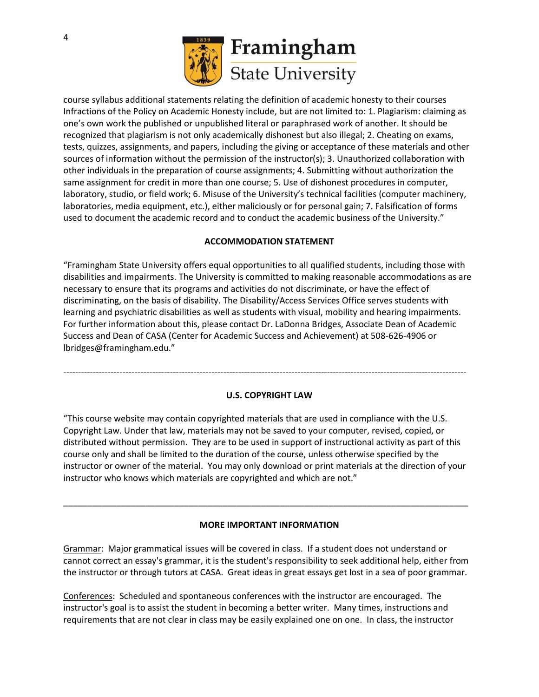

course syllabus additional statements relating the definition of academic honesty to their courses Infractions of the Policy on Academic Honesty include, but are not limited to: 1. Plagiarism: claiming as one's own work the published or unpublished literal or paraphrased work of another. It should be recognized that plagiarism is not only academically dishonest but also illegal; 2. Cheating on exams, tests, quizzes, assignments, and papers, including the giving or acceptance of these materials and other sources of information without the permission of the instructor(s); 3. Unauthorized collaboration with other individuals in the preparation of course assignments; 4. Submitting without authorization the same assignment for credit in more than one course; 5. Use of dishonest procedures in computer, laboratory, studio, or field work; 6. Misuse of the University's technical facilities (computer machinery, laboratories, media equipment, etc.), either maliciously or for personal gain; 7. Falsification of forms used to document the academic record and to conduct the academic business of the University."

# **ACCOMMODATION STATEMENT**

"Framingham State University offers equal opportunities to all qualified students, including those with disabilities and impairments. The University is committed to making reasonable accommodations as are necessary to ensure that its programs and activities do not discriminate, or have the effect of discriminating, on the basis of disability. The Disability/Access Services Office serves students with learning and psychiatric disabilities as well as students with visual, mobility and hearing impairments. For further information about this, please contact Dr. LaDonna Bridges, Associate Dean of Academic Success and Dean of CASA (Center for Academic Success and Achievement) at 508-626-4906 or lbridges@framingham.edu."

----------------------------------------------------------------------------------------------------------------------------------------

### **U.S. COPYRIGHT LAW**

"This course website may contain copyrighted materials that are used in compliance with the U.S. Copyright Law. Under that law, materials may not be saved to your computer, revised, copied, or distributed without permission. They are to be used in support of instructional activity as part of this course only and shall be limited to the duration of the course, unless otherwise specified by the instructor or owner of the material. You may only download or print materials at the direction of your instructor who knows which materials are copyrighted and which are not."

### **MORE IMPORTANT INFORMATION**

\_\_\_\_\_\_\_\_\_\_\_\_\_\_\_\_\_\_\_\_\_\_\_\_\_\_\_\_\_\_\_\_\_\_\_\_\_\_\_\_\_\_\_\_\_\_\_\_\_\_\_\_\_\_\_\_\_\_\_\_\_\_\_\_\_\_\_\_\_\_\_\_\_\_\_\_\_\_\_\_\_\_\_\_

Grammar: Major grammatical issues will be covered in class. If a student does not understand or cannot correct an essay's grammar, it is the student's responsibility to seek additional help, either from the instructor or through tutors at CASA. Great ideas in great essays get lost in a sea of poor grammar.

Conferences: Scheduled and spontaneous conferences with the instructor are encouraged. The instructor's goal is to assist the student in becoming a better writer. Many times, instructions and requirements that are not clear in class may be easily explained one on one. In class, the instructor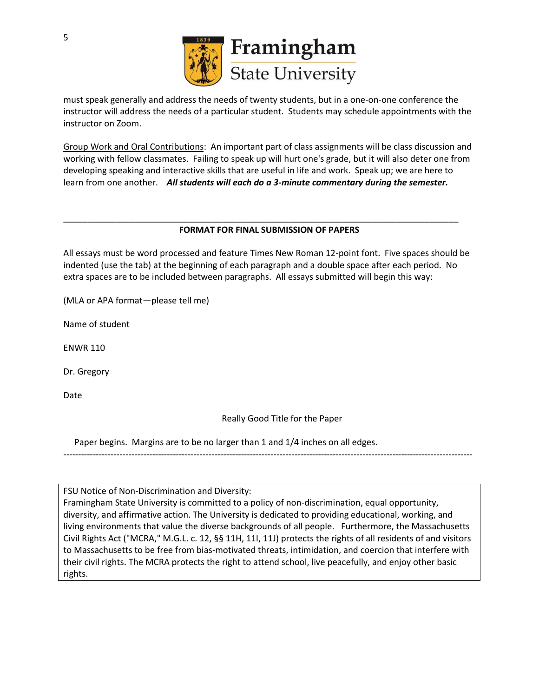

must speak generally and address the needs of twenty students, but in a one-on-one conference the instructor will address the needs of a particular student. Students may schedule appointments with the instructor on Zoom.

Group Work and Oral Contributions: An important part of class assignments will be class discussion and working with fellow classmates. Failing to speak up will hurt one's grade, but it will also deter one from developing speaking and interactive skills that are useful in life and work. Speak up; we are here to learn from one another. *All students will each do a 3-minute commentary during the semester.*

## **FORMAT FOR FINAL SUBMISSION OF PAPERS**

\_\_\_\_\_\_\_\_\_\_\_\_\_\_\_\_\_\_\_\_\_\_\_\_\_\_\_\_\_\_\_\_\_\_\_\_\_\_\_\_\_\_\_\_\_\_\_\_\_\_\_\_\_\_\_\_\_\_\_\_\_\_\_\_\_\_\_\_\_\_\_\_\_\_\_\_\_\_\_\_\_\_

All essays must be word processed and feature Times New Roman 12-point font. Five spaces should be indented (use the tab) at the beginning of each paragraph and a double space after each period. No extra spaces are to be included between paragraphs. All essays submitted will begin this way:

(MLA or APA format—please tell me)

Name of student

ENWR 110

Dr. Gregory

Date

Really Good Title for the Paper

Paper begins. Margins are to be no larger than 1 and 1/4 inches on all edges.

------------------------------------------------------------------------------------------------------------------------------------------

FSU Notice of Non-Discrimination and Diversity:

Framingham State University is committed to a policy of non-discrimination, equal opportunity, diversity, and affirmative action. The University is dedicated to providing educational, working, and living environments that value the diverse backgrounds of all people. Furthermore, the Massachusetts Civil Rights Act ("MCRA," M.G.L. c. 12, §§ 11H, 11I, 11J) protects the rights of all residents of and visitors to Massachusetts to be free from bias-motivated threats, intimidation, and coercion that interfere with their civil rights. The MCRA protects the right to attend school, live peacefully, and enjoy other basic rights.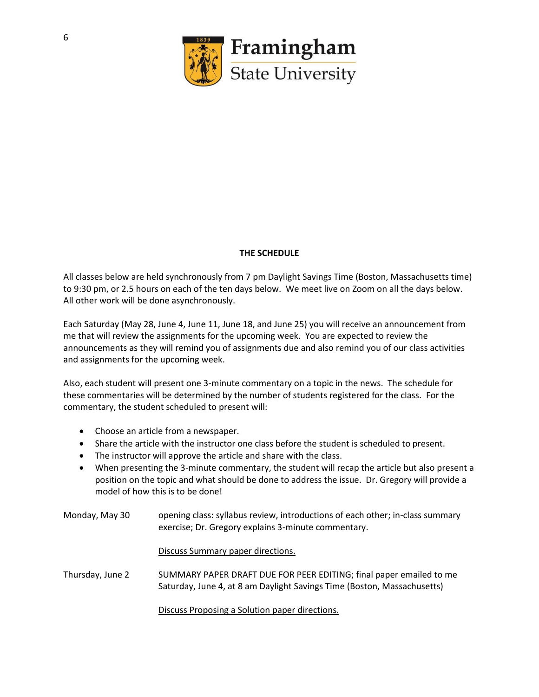

# **THE SCHEDULE**

All classes below are held synchronously from 7 pm Daylight Savings Time (Boston, Massachusetts time) to 9:30 pm, or 2.5 hours on each of the ten days below. We meet live on Zoom on all the days below. All other work will be done asynchronously.

Each Saturday (May 28, June 4, June 11, June 18, and June 25) you will receive an announcement from me that will review the assignments for the upcoming week. You are expected to review the announcements as they will remind you of assignments due and also remind you of our class activities and assignments for the upcoming week.

Also, each student will present one 3-minute commentary on a topic in the news. The schedule for these commentaries will be determined by the number of students registered for the class. For the commentary, the student scheduled to present will:

- Choose an article from a newspaper.
- Share the article with the instructor one class before the student is scheduled to present.
- The instructor will approve the article and share with the class.
- When presenting the 3-minute commentary, the student will recap the article but also present a position on the topic and what should be done to address the issue. Dr. Gregory will provide a model of how this is to be done!
- Monday, May 30 opening class: syllabus review, introductions of each other; in-class summary exercise; Dr. Gregory explains 3-minute commentary.

Discuss Summary paper directions.

Thursday, June 2 SUMMARY PAPER DRAFT DUE FOR PEER EDITING; final paper emailed to me Saturday, June 4, at 8 am Daylight Savings Time (Boston, Massachusetts)

Discuss Proposing a Solution paper directions.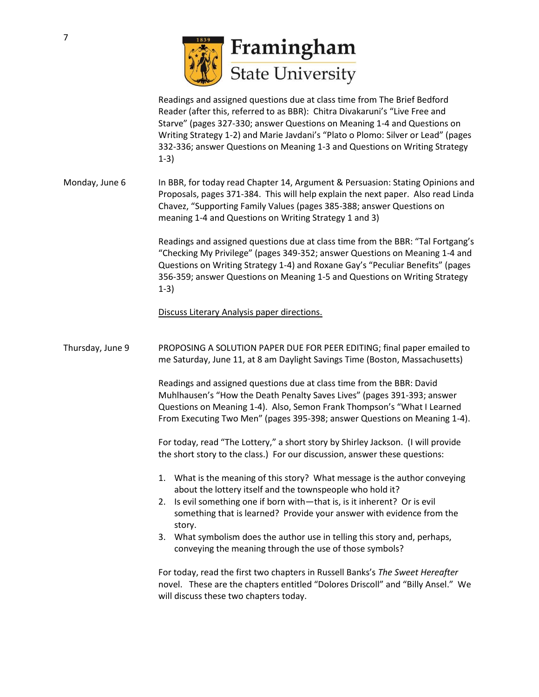

Readings and assigned questions due at class time from The Brief Bedford Reader (after this, referred to as BBR): Chitra Divakaruni's "Live Free and Starve" (pages 327-330; answer Questions on Meaning 1-4 and Questions on Writing Strategy 1-2) and Marie Javdani's "Plato o Plomo: Silver or Lead" (pages 332-336; answer Questions on Meaning 1-3 and Questions on Writing Strategy 1-3)

Monday, June 6 In BBR, for today read Chapter 14, Argument & Persuasion: Stating Opinions and Proposals, pages 371-384. This will help explain the next paper. Also read Linda Chavez, "Supporting Family Values (pages 385-388; answer Questions on meaning 1-4 and Questions on Writing Strategy 1 and 3)

> Readings and assigned questions due at class time from the BBR: "Tal Fortgang's "Checking My Privilege" (pages 349-352; answer Questions on Meaning 1-4 and Questions on Writing Strategy 1-4) and Roxane Gay's "Peculiar Benefits" (pages 356-359; answer Questions on Meaning 1-5 and Questions on Writing Strategy 1-3)

Discuss Literary Analysis paper directions.

Thursday, June 9 PROPOSING A SOLUTION PAPER DUE FOR PEER EDITING; final paper emailed to me Saturday, June 11, at 8 am Daylight Savings Time (Boston, Massachusetts)

> Readings and assigned questions due at class time from the BBR: David Muhlhausen's "How the Death Penalty Saves Lives" (pages 391-393; answer Questions on Meaning 1-4). Also, Semon Frank Thompson's "What I Learned From Executing Two Men" (pages 395-398; answer Questions on Meaning 1-4).

For today, read "The Lottery," a short story by Shirley Jackson. (I will provide the short story to the class.) For our discussion, answer these questions:

- 1. What is the meaning of this story? What message is the author conveying about the lottery itself and the townspeople who hold it?
- 2. Is evil something one if born with—that is, is it inherent? Or is evil something that is learned? Provide your answer with evidence from the story.
- 3. What symbolism does the author use in telling this story and, perhaps, conveying the meaning through the use of those symbols?

For today, read the first two chapters in Russell Banks's *The Sweet Hereafter* novel. These are the chapters entitled "Dolores Driscoll" and "Billy Ansel." We will discuss these two chapters today.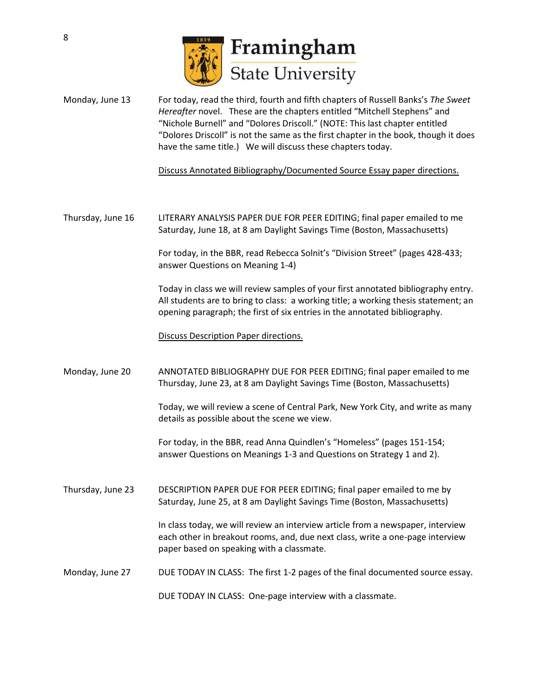

Monday, June 13 For today, read the third, fourth and fifth chapters of Russell Banks's *The Sweet Hereafter* novel. These are the chapters entitled "Mitchell Stephens" and "Nichole Burnell" and "Dolores Driscoll." (NOTE: This last chapter entitled "Dolores Driscoll" is not the same as the first chapter in the book, though it does have the same title.) We will discuss these chapters today.

Discuss Annotated Bibliography/Documented Source Essay paper directions.

Thursday, June 16 LITERARY ANALYSIS PAPER DUE FOR PEER EDITING; final paper emailed to me Saturday, June 18, at 8 am Daylight Savings Time (Boston, Massachusetts)

> For today, in the BBR, read Rebecca Solnit's "Division Street" (pages 428-433; answer Questions on Meaning 1-4)

Today in class we will review samples of your first annotated bibliography entry. All students are to bring to class: a working title; a working thesis statement; an opening paragraph; the first of six entries in the annotated bibliography.

Discuss Description Paper directions.

Monday, June 20 ANNOTATED BIBLIOGRAPHY DUE FOR PEER EDITING; final paper emailed to me Thursday, June 23, at 8 am Daylight Savings Time (Boston, Massachusetts)

> Today, we will review a scene of Central Park, New York City, and write as many details as possible about the scene we view.

For today, in the BBR, read Anna Quindlen's "Homeless" (pages 151-154; answer Questions on Meanings 1-3 and Questions on Strategy 1 and 2).

Thursday, June 23 DESCRIPTION PAPER DUE FOR PEER EDITING; final paper emailed to me by Saturday, June 25, at 8 am Daylight Savings Time (Boston, Massachusetts)

> In class today, we will review an interview article from a newspaper, interview each other in breakout rooms, and, due next class, write a one-page interview paper based on speaking with a classmate.

Monday, June 27 DUE TODAY IN CLASS: The first 1-2 pages of the final documented source essay.

DUE TODAY IN CLASS: One-page interview with a classmate.